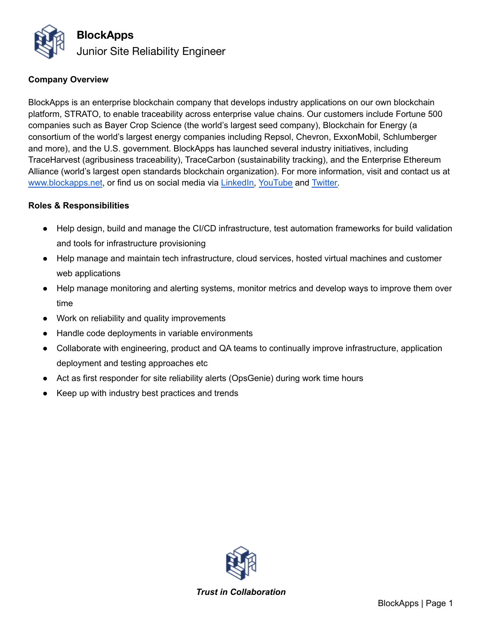

### **Company Overview**

BlockApps is an enterprise blockchain company that develops industry applications on our own blockchain platform, STRATO, to enable traceability across enterprise value chains. Our customers include Fortune 500 companies such as Bayer Crop Science (the world's largest seed company), Blockchain for Energy (a consortium of the world's largest energy companies including Repsol, Chevron, ExxonMobil, Schlumberger and more), and the U.S. government. BlockApps has launched several industry initiatives, including TraceHarvest (agribusiness traceability), TraceCarbon (sustainability tracking), and the Enterprise Ethereum Alliance (world's largest open standards blockchain organization). For more information, visit and contact us at [www.blockapps.net](http://www.blockapps.net), or find us on social media via [LinkedIn,](https://www.linkedin.com/company/10267837/) [YouTube](https://www.youtube.com/channel/UC90KMyw1HFb39da02PjRFjw) and [Twitter.](https://twitter.com/blockapps)

#### **Roles & Responsibilities**

- Help design, build and manage the CI/CD infrastructure, test automation frameworks for build validation and tools for infrastructure provisioning
- Help manage and maintain tech infrastructure, cloud services, hosted virtual machines and customer web applications
- Help manage monitoring and alerting systems, monitor metrics and develop ways to improve them over time
- Work on reliability and quality improvements
- Handle code deployments in variable environments
- Collaborate with engineering, product and QA teams to continually improve infrastructure, application deployment and testing approaches etc
- Act as first responder for site reliability alerts (OpsGenie) during work time hours
- Keep up with industry best practices and trends